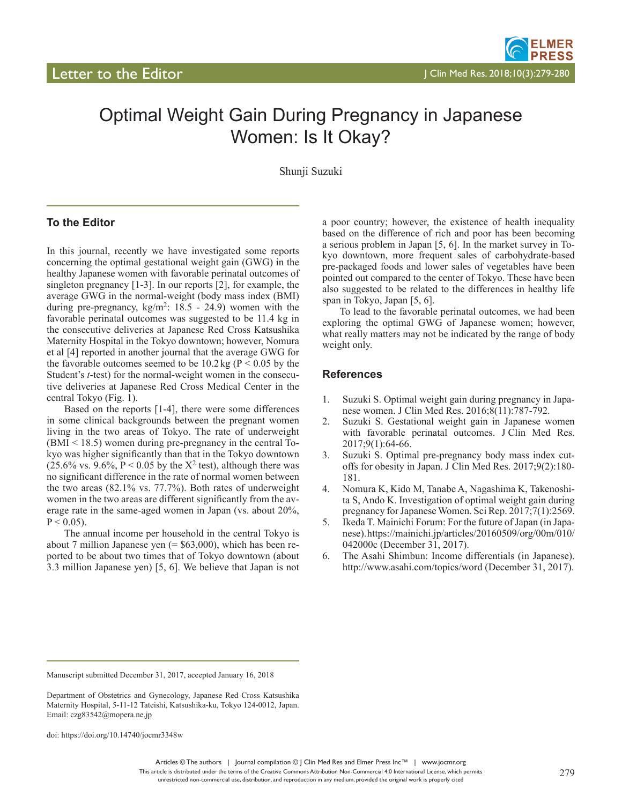## Optimal Weight Gain During Pregnancy in Japanese Women: Is It Okay?

Shunji Suzuki

## **To the Editor**

In this journal, recently we have investigated some reports concerning the optimal gestational weight gain (GWG) in the healthy Japanese women with favorable perinatal outcomes of singleton pregnancy [1-3]. In our reports [2], for example, the average GWG in the normal-weight (body mass index (BMI) during pre-pregnancy,  $kg/m^2$ : 18.5 - 24.9) women with the favorable perinatal outcomes was suggested to be 11.4 kg in the consecutive deliveries at Japanese Red Cross Katsushika Maternity Hospital in the Tokyo downtown; however, Nomura et al [4] reported in another journal that the average GWG for the favorable outcomes seemed to be  $10.2 \text{ kg}$  (P < 0.05 by the Student's *t*-test) for the normal-weight women in the consecutive deliveries at Japanese Red Cross Medical Center in the central Tokyo (Fig. 1).

Based on the reports [1-4], there were some differences in some clinical backgrounds between the pregnant women living in the two areas of Tokyo. The rate of underweight (BMI < 18.5) women during pre-pregnancy in the central Tokyo was higher significantly than that in the Tokyo downtown  $(25.6\% \text{ vs. } 9.6\%, P < 0.05 \text{ by the X}^2 \text{ test})$ , although there was no significant difference in the rate of normal women between the two areas (82.1% vs. 77.7%). Both rates of underweight women in the two areas are different significantly from the average rate in the same-aged women in Japan (vs. about 20%,  $P < 0.05$ ).

The annual income per household in the central Tokyo is about 7 million Japanese yen  $(= $63,000)$ , which has been reported to be about two times that of Tokyo downtown (about 3.3 million Japanese yen) [5, 6]. We believe that Japan is not

a poor country; however, the existence of health inequality based on the difference of rich and poor has been becoming a serious problem in Japan [5, 6]. In the market survey in Tokyo downtown, more frequent sales of carbohydrate-based pre-packaged foods and lower sales of vegetables have been pointed out compared to the center of Tokyo. These have been also suggested to be related to the differences in healthy life span in Tokyo, Japan [5, 6].

To lead to the favorable perinatal outcomes, we had been exploring the optimal GWG of Japanese women; however, what really matters may not be indicated by the range of body weight only.

## **References**

- 1. Suzuki S. Optimal weight gain during pregnancy in Japanese women. J Clin Med Res. 2016;8(11):787-792.
- 2. Suzuki S. Gestational weight gain in Japanese women with favorable perinatal outcomes. J Clin Med Res. 2017;9(1):64-66.
- 3. Suzuki S. Optimal pre-pregnancy body mass index cutoffs for obesity in Japan. J Clin Med Res. 2017;9(2):180- 181.
- 4. Nomura K, Kido M, Tanabe A, Nagashima K, Takenoshita S, Ando K. Investigation of optimal weight gain during pregnancy for Japanese Women. Sci Rep. 2017;7(1):2569.
- 5. Ikeda T. Mainichi Forum: For the future of Japan (in Japanese). https://mainichi.jp/articles/20160509/org/00m/010/ 042000c (December 31, 2017).
- 6. The Asahi Shimbun: Income differentials (in Japanese). http://www.asahi.com/topics/word (December 31, 2017).

doi: https://doi.org/10.14740/jocmr3348w

Manuscript submitted December 31, 2017, accepted January 16, 2018

Department of Obstetrics and Gynecology, Japanese Red Cross Katsushika Maternity Hospital, 5-11-12 Tateishi, Katsushika-ku, Tokyo 124-0012, Japan. Email: czg83542@mopera.ne.jp